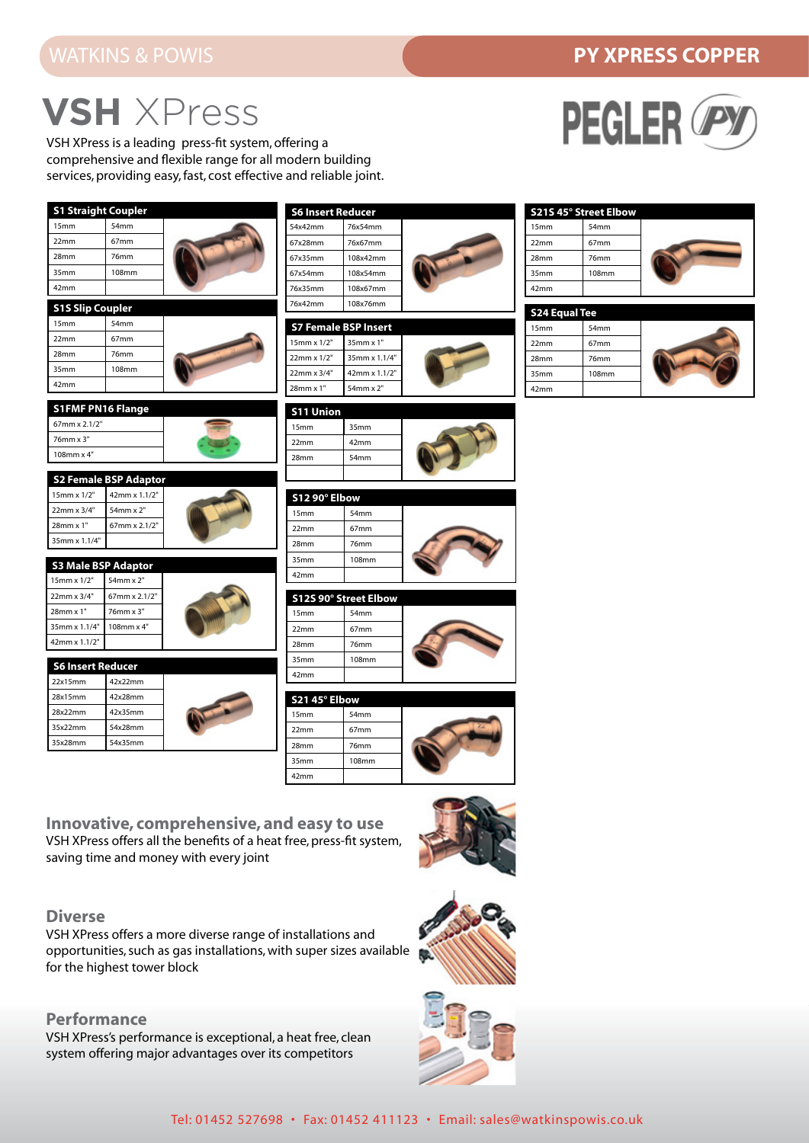### **PY XPRESS COPPER**

## **VSH** XPress

VSH XPress is a leading press-fit system, offering a comprehensive and flexible range for all modern building services, providing easy, fast, cost effective and reliable joint.



### **Diverse**

VSH XPress offers a more diverse range of installations and opportunities, such as gas installations, with super sizes available for the highest tower block

#### **Performance**

VSH XPress's performance is exceptional, a heat free, clean system offering major advantages over its competitors